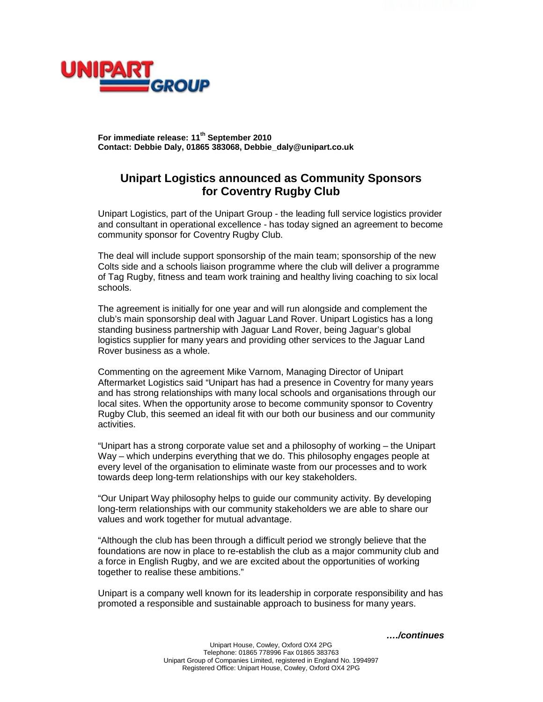



**For immediate release: 11th September 2010 Contact: Debbie Daly, 01865 383068, Debbie\_daly@unipart.co.uk**

## **Unipart Logistics announced as Community Sponsors for Coventry Rugby Club**

Unipart Logistics, part of the Unipart Group - the leading full service logistics provider and consultant in operational excellence - has today signed an agreement to become community sponsor for Coventry Rugby Club.

The deal will include support sponsorship of the main team; sponsorship of the new Colts side and a schools liaison programme where the club will deliver a programme of Tag Rugby, fitness and team work training and healthy living coaching to six local schools.

The agreement is initially for one year and will run alongside and complement the club's main sponsorship deal with Jaguar Land Rover. Unipart Logistics has a long standing business partnership with Jaguar Land Rover, being Jaguar's global logistics supplier for many years and providing other services to the Jaguar Land Rover business as a whole.

Commenting on the agreement Mike Varnom, Managing Director of Unipart Aftermarket Logistics said "Unipart has had a presence in Coventry for many years and has strong relationships with many local schools and organisations through our local sites. When the opportunity arose to become community sponsor to Coventry Rugby Club, this seemed an ideal fit with our both our business and our community activities.

"Unipart has a strong corporate value set and a philosophy of working – the Unipart Way – which underpins everything that we do. This philosophy engages people at every level of the organisation to eliminate waste from our processes and to work towards deep long-term relationships with our key stakeholders.

"Our Unipart Way philosophy helps to guide our community activity. By developing long-term relationships with our community stakeholders we are able to share our values and work together for mutual advantage.

"Although the club has been through a difficult period we strongly believe that the foundations are now in place to re-establish the club as a major community club and a force in English Rugby, and we are excited about the opportunities of working together to realise these ambitions."

Unipart is a company well known for its leadership in corporate responsibility and has promoted a responsible and sustainable approach to business for many years.

*…./continues*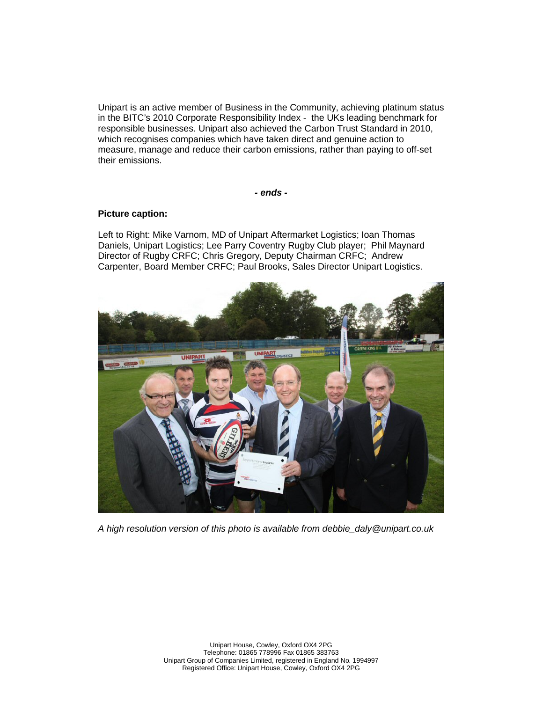Unipart is an active member of Business in the Community, achieving platinum status in the BITC's 2010 Corporate Responsibility Index - the UKs leading benchmark for responsible businesses. Unipart also achieved the Carbon Trust Standard in 2010, which recognises companies which have taken direct and genuine action to measure, manage and reduce their carbon emissions, rather than paying to off-set their emissions.

*- ends -*

## **Picture caption:**

Left to Right: Mike Varnom, MD of Unipart Aftermarket Logistics; Ioan Thomas Daniels, Unipart Logistics; Lee Parry Coventry Rugby Club player; Phil Maynard Director of Rugby CRFC; Chris Gregory, Deputy Chairman CRFC; Andrew Carpenter, Board Member CRFC; Paul Brooks, Sales Director Unipart Logistics.



*A high resolution version of this photo is available from debbie\_daly@unipart.co.uk*